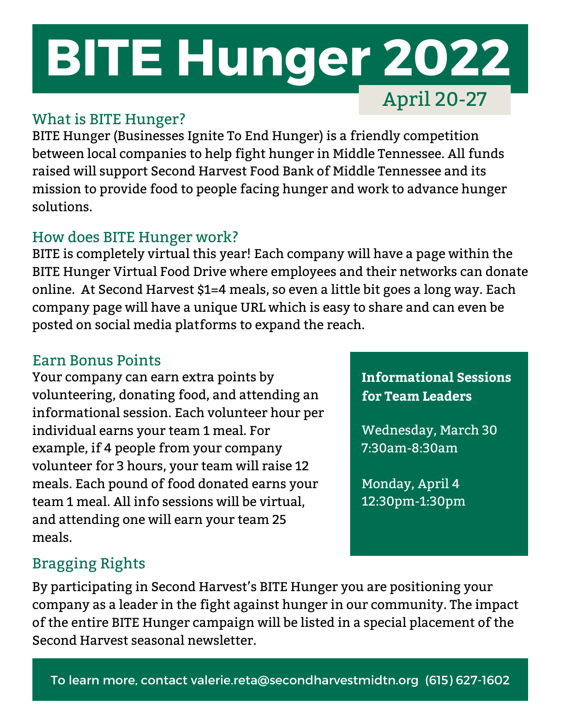# **BITE Hunger 2022** April 20-27

### What is BITE Hunger?

BITE Hunger (Businesses Ignite To End Hunger) is a friendly competition between local companies to help fight hunger in Middle Tennessee. All funds raised will support Second Harvest Food Bank of Middle Tennessee and its mission to provide food to people facing hunger and work to advance hunger solutions.

### How does BITE Hunger work?

BITE is completely virtual this year! Each company will have a page within the BITE Hunger Virtual Food Drive where employees and their networks can donate online. At Second Harvest \$1=4 meals, so even a little bit goes a long way. Each company page will have a unique URL which is easy to share and can even be posted on social media platforms to expand the reach.

### Earn Bonus Points

Your company can earn extra points by volunteering, donating food, and attending an informational session. Each volunteer hour per individual earns your team 1 meal. For example, if 4 people from your company volunteer for 3 hours, your team will raise 12 meals. Each pound of food donated earns your team 1 meal. All info sessions will be virtual, and attending one will earn your team 25 meals.

**Informational Sessions for Team Leaders**

Wednesday, March 30 7:30am-8:30am

Monday, April 4 12:30pm-1:30pm

# Bragging Rights

By participating in Second Harvest's BITE Hunger you are positioning your company as a leader in the fight against hunger in our community. The impact of the entire BITE Hunger campaign will be listed in a special placement of the Second Harvest seasonal newsletter.